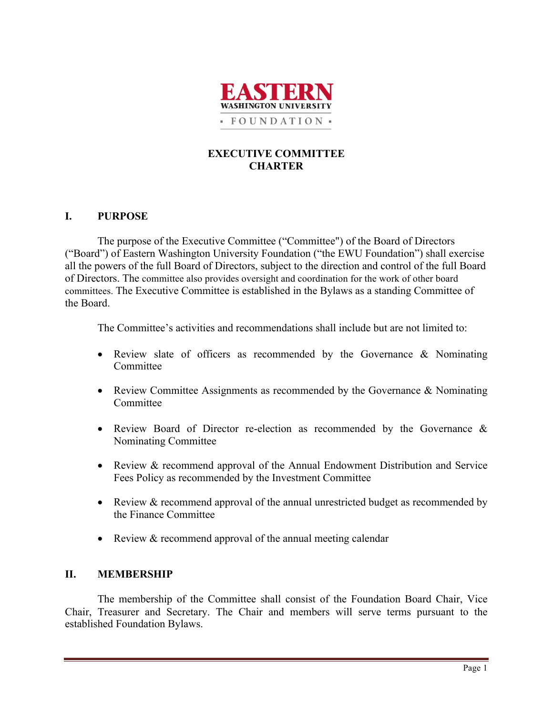

## **EXECUTIVE COMMITTEE CHARTER**

## **I. PURPOSE**

The purpose of the Executive Committee ("Committee") of the Board of Directors ("Board") of Eastern Washington University Foundation ("the EWU Foundation") shall exercise all the powers of the full Board of Directors, subject to the direction and control of the full Board of Directors. The committee also provides oversight and coordination for the work of other board committees. The Executive Committee is established in the Bylaws as a standing Committee of the Board.

The Committee's activities and recommendations shall include but are not limited to:

- Review slate of officers as recommended by the Governance & Nominating Committee
- Review Committee Assignments as recommended by the Governance & Nominating Committee
- Review Board of Director re-election as recommended by the Governance & Nominating Committee
- Review & recommend approval of the Annual Endowment Distribution and Service Fees Policy as recommended by the Investment Committee
- Review & recommend approval of the annual unrestricted budget as recommended by the Finance Committee
- Review & recommend approval of the annual meeting calendar

# **II. MEMBERSHIP**

The membership of the Committee shall consist of the Foundation Board Chair, Vice Chair, Treasurer and Secretary. The Chair and members will serve terms pursuant to the established Foundation Bylaws.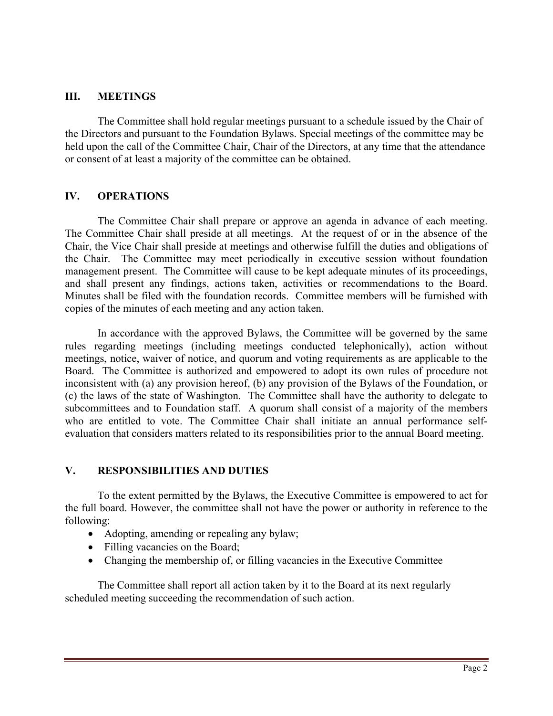### **III. MEETINGS**

The Committee shall hold regular meetings pursuant to a schedule issued by the Chair of the Directors and pursuant to the Foundation Bylaws. Special meetings of the committee may be held upon the call of the Committee Chair, Chair of the Directors, at any time that the attendance or consent of at least a majority of the committee can be obtained.

### **IV. OPERATIONS**

The Committee Chair shall prepare or approve an agenda in advance of each meeting. The Committee Chair shall preside at all meetings. At the request of or in the absence of the Chair, the Vice Chair shall preside at meetings and otherwise fulfill the duties and obligations of the Chair. The Committee may meet periodically in executive session without foundation management present. The Committee will cause to be kept adequate minutes of its proceedings, and shall present any findings, actions taken, activities or recommendations to the Board. Minutes shall be filed with the foundation records. Committee members will be furnished with copies of the minutes of each meeting and any action taken.

In accordance with the approved Bylaws, the Committee will be governed by the same rules regarding meetings (including meetings conducted telephonically), action without meetings, notice, waiver of notice, and quorum and voting requirements as are applicable to the Board. The Committee is authorized and empowered to adopt its own rules of procedure not inconsistent with (a) any provision hereof, (b) any provision of the Bylaws of the Foundation, or (c) the laws of the state of Washington. The Committee shall have the authority to delegate to subcommittees and to Foundation staff. A quorum shall consist of a majority of the members who are entitled to vote. The Committee Chair shall initiate an annual performance selfevaluation that considers matters related to its responsibilities prior to the annual Board meeting.

#### **V. RESPONSIBILITIES AND DUTIES**

To the extent permitted by the Bylaws, the Executive Committee is empowered to act for the full board. However, the committee shall not have the power or authority in reference to the following:

- Adopting, amending or repealing any bylaw;
- Filling vacancies on the Board;
- Changing the membership of, or filling vacancies in the Executive Committee

The Committee shall report all action taken by it to the Board at its next regularly scheduled meeting succeeding the recommendation of such action.